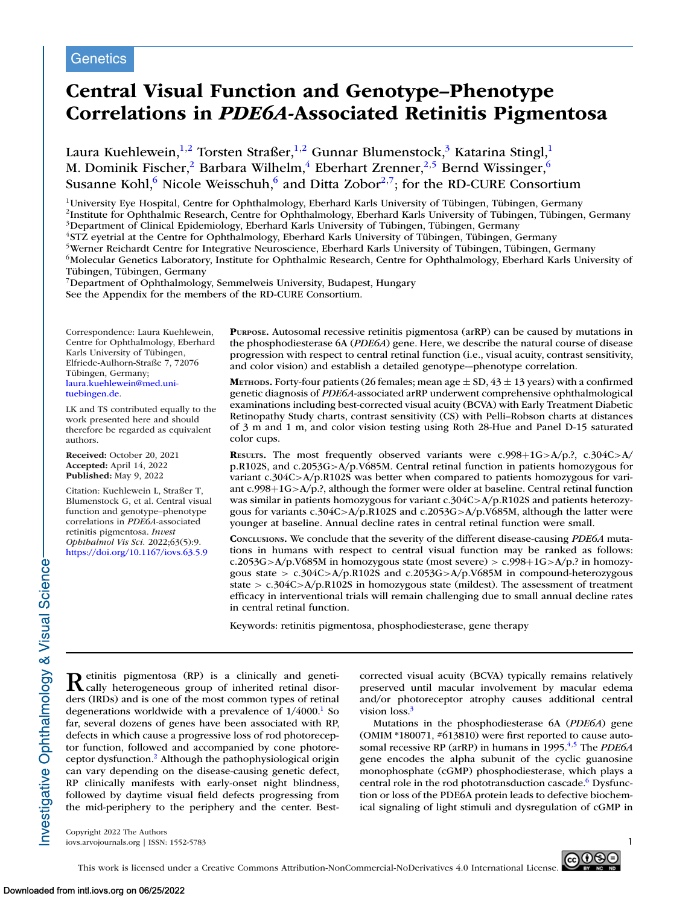# **Genetics**

# **Central Visual Function and Genotype–Phenotype Correlations in** *PDE6A***-Associated Retinitis Pigmentosa**

Laura Kuehlewein,<sup>1,2</sup> Torsten Straßer,<sup>1,2</sup> Gunnar Blumenstock,<sup>3</sup> Katarina Stingl,<sup>1</sup> M. Dominik Fischer,<sup>2</sup> Barbara Wilhelm,<sup>4</sup> Eberhart Zrenner,<sup>2,5</sup> Bernd Wissinger,<sup>6</sup> Susanne Kohl, $6$  Nicole Weisschuh, $6$  and Ditta Zobor<sup>2,7</sup>; for the RD-CURE Consortium

1University Eye Hospital, Centre for Ophthalmology, Eberhard Karls University of Tübingen, Tübingen, Germany

2Institute for Ophthalmic Research, Centre for Ophthalmology, Eberhard Karls University of Tübingen, Tübingen, Germany <sup>3</sup>Department of Clinical Epidemiology, Eberhard Karls University of Tübingen, Tübingen, Germany

4STZ eyetrial at the Centre for Ophthalmology, Eberhard Karls University of Tübingen, Tübingen, Germany

5Werner Reichardt Centre for Integrative Neuroscience, Eberhard Karls University of Tübingen, Tübingen, Germany

<sup>6</sup>Molecular Genetics Laboratory, Institute for Ophthalmic Research, Centre for Ophthalmology, Eberhard Karls University of Tübingen, Tübingen, Germany

7Department of Ophthalmology, Semmelweis University, Budapest, Hungary See the Appendix for the members of the RD-CURE Consortium.

Correspondence: Laura Kuehlewein, Centre for Ophthalmology, Eberhard Karls University of Tübingen, Elfriede-Aulhorn-Straße 7, 72076 Tübingen, Germany; [laura.kuehlewein@med.uni](mailto:laura.kuehlewein@med.uni-tuebingen.de)tuebingen.de.

LK and TS contributed equally to the work presented here and should therefore be regarded as equivalent authors.

**Received:** October 20, 2021 **Accepted:** April 14, 2022 **Published:** May 9, 2022

Citation: Kuehlewein L, Straßer T, Blumenstock G, et al. Central visual function and genotype–phenotype correlations in *PDE6A*-associated retinitis pigmentosa. *Invest Ophthalmol Vis Sci.* 2022;63(5):9. <https://doi.org/10.1167/iovs.63.5.9>

**PURPOSE.** Autosomal recessive retinitis pigmentosa (arRP) can be caused by mutations in the phosphodiesterase 6A (*PDE6A*) gene. Here, we describe the natural course of disease progression with respect to central retinal function (i.e., visual acuity, contrast sensitivity, and color vision) and establish a detailed genotype-–phenotype correlation.

**METHODS.** Forty-four patients (26 females; mean age  $\pm$  SD, 43  $\pm$  13 years) with a confirmed genetic diagnosis of *PDE6A*-associated arRP underwent comprehensive ophthalmological examinations including best-corrected visual acuity (BCVA) with Early Treatment Diabetic Retinopathy Study charts, contrast sensitivity (CS) with Pelli–Robson charts at distances of 3 m and 1 m, and color vision testing using Roth 28-Hue and Panel D-15 saturated color cups.

**RESULTS.** The most frequently observed variants were c.998+1G>A/p.?, c.304C>A/ p.R102S, and c.2053G>A/p.V685M. Central retinal function in patients homozygous for variant c.304C>A/p.R102S was better when compared to patients homozygous for variant c.998+1G>A/p.?, although the former were older at baseline. Central retinal function was similar in patients homozygous for variant c.304C>A/p.R102S and patients heterozygous for variants c.304C>A/p.R102S and c.2053G>A/p.V685M, although the latter were younger at baseline. Annual decline rates in central retinal function were small.

**CONCLUSIONS.** We conclude that the severity of the different disease-causing *PDE6A* mutations in humans with respect to central visual function may be ranked as follows: c.2053G>A/p.V685M in homozygous state (most severe) > c.998+1G>A/p.? in homozygous state > c.304C>A/p.R102S and c.2053G>A/p.V685M in compound-heterozygous state >  $c.304C > A/p.R102S$  in homozygous state (mildest). The assessment of treatment efficacy in interventional trials will remain challenging due to small annual decline rates in central retinal function.

Keywords: retinitis pigmentosa, phosphodiesterase, gene therapy

Retinitis pigmentosa (RP) is a clinically and geneti-<br>cally heterogeneous group of inherited retinal disorders (IRDs) and is one of the most common types of retinal degenerations worldwide with a prevalence of  $1/4000$ .<sup>1</sup> So far, several dozens of genes have been associated with RP, defects in which cause a progressive loss of rod photoreceptor function, followed and accompanied by cone photoreceptor dysfunction[.2](#page-7-0) Although the pathophysiological origin can vary depending on the disease-causing genetic defect, RP clinically manifests with early-onset night blindness, followed by daytime visual field defects progressing from the mid-periphery to the periphery and the center. Best-

corrected visual acuity (BCVA) typically remains relatively preserved until macular involvement by macular edema and/or photoreceptor atrophy causes additional central vision loss.<sup>3</sup>

Mutations in the phosphodiesterase 6A (*PDE6A*) gene (OMIM \*180071, #613810) were first reported to cause autosomal recessive RP (arRP) in humans in 1995.<sup>4,5</sup> The *PDE6A* gene encodes the alpha subunit of the cyclic guanosine monophosphate (cGMP) phosphodiesterase, which plays a central role in the rod phototransduction cascade.<sup>6</sup> Dysfunction or loss of the PDE6A protein leads to defective biochemical signaling of light stimuli and dysregulation of cGMP in

Copyright 2022 The Authors iovs.arvojournals.org | ISSN: 1552-5783 1



nvestigative Ophthalmology & Visual Science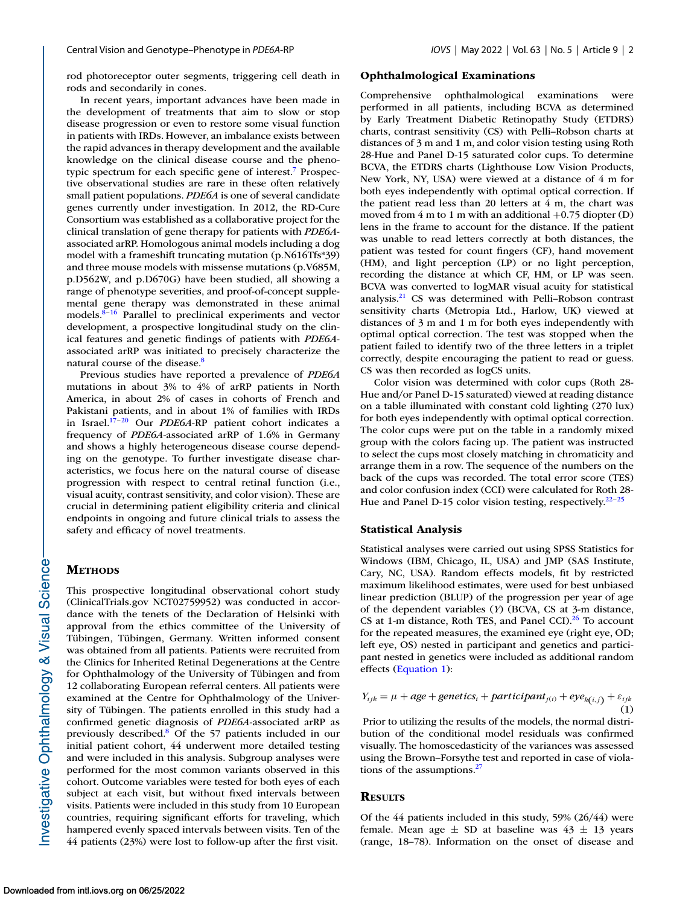rod photoreceptor outer segments, triggering cell death in rods and secondarily in cones.

In recent years, important advances have been made in the development of treatments that aim to slow or stop disease progression or even to restore some visual function in patients with IRDs. However, an imbalance exists between the rapid advances in therapy development and the available knowledge on the clinical disease course and the phenotypic spectrum for each specific gene of interest[.7](#page-7-0) Prospective observational studies are rare in these often relatively small patient populations. *PDE6A* is one of several candidate genes currently under investigation. In 2012, the RD-Cure Consortium was established as a collaborative project for the clinical translation of gene therapy for patients with *PDE6A*associated arRP. Homologous animal models including a dog model with a frameshift truncating mutation (p.N616Tfs\*39) and three mouse models with missense mutations (p.V685M, p.D562W, and p.D670G) have been studied, all showing a range of phenotype severities, and proof-of-concept supplemental gene therapy was demonstrated in these animal models[.8–](#page-7-0)[16](#page-8-0) Parallel to preclinical experiments and vector development, a prospective longitudinal study on the clinical features and genetic findings of patients with *PDE6A*associated arRP was initiated to precisely characterize the natural course of the disease.<sup>8</sup>

Previous studies have reported a prevalence of *PDE6A* mutations in about 3% to 4% of arRP patients in North America, in about 2% of cases in cohorts of French and Pakistani patients, and in about 1% of families with IRDs in Israel[.17–20](#page-8-0) Our *PDE6A*-RP patient cohort indicates a frequency of *PDE6A*-associated arRP of 1.6% in Germany and shows a highly heterogeneous disease course depending on the genotype. To further investigate disease characteristics, we focus here on the natural course of disease progression with respect to central retinal function (i.e., visual acuity, contrast sensitivity, and color vision). These are crucial in determining patient eligibility criteria and clinical endpoints in ongoing and future clinical trials to assess the safety and efficacy of novel treatments.

# **METHODS**

This prospective longitudinal observational cohort study (ClinicalTrials.gov NCT02759952) was conducted in accordance with the tenets of the Declaration of Helsinki with approval from the ethics committee of the University of Tübingen, Tübingen, Germany. Written informed consent was obtained from all patients. Patients were recruited from the Clinics for Inherited Retinal Degenerations at the Centre for Ophthalmology of the University of Tübingen and from 12 collaborating European referral centers. All patients were examined at the Centre for Ophthalmology of the University of Tübingen. The patients enrolled in this study had a confirmed genetic diagnosis of *PDE6A*-associated arRP as previously described[.8](#page-7-0) Of the 57 patients included in our initial patient cohort, 44 underwent more detailed testing and were included in this analysis. Subgroup analyses were performed for the most common variants observed in this cohort. Outcome variables were tested for both eyes of each subject at each visit, but without fixed intervals between visits. Patients were included in this study from 10 European countries, requiring significant efforts for traveling, which hampered evenly spaced intervals between visits. Ten of the 44 patients (23%) were lost to follow-up after the first visit.

#### **Ophthalmological Examinations**

Comprehensive ophthalmological examinations were performed in all patients, including BCVA as determined by Early Treatment Diabetic Retinopathy Study (ETDRS) charts, contrast sensitivity (CS) with Pelli–Robson charts at distances of 3 m and 1 m, and color vision testing using Roth 28-Hue and Panel D-15 saturated color cups. To determine BCVA, the ETDRS charts (Lighthouse Low Vision Products, New York, NY, USA) were viewed at a distance of 4 m for both eyes independently with optimal optical correction. If the patient read less than 20 letters at  $4 \text{ m}$ , the chart was moved from 4 m to 1 m with an additional  $+0.75$  diopter (D) lens in the frame to account for the distance. If the patient was unable to read letters correctly at both distances, the patient was tested for count fingers (CF), hand movement (HM), and light perception (LP) or no light perception, recording the distance at which CF, HM, or LP was seen. BCVA was converted to logMAR visual acuity for statistical analysis[.21](#page-8-0) CS was determined with Pelli–Robson contrast sensitivity charts (Metropia Ltd., Harlow, UK) viewed at distances of 3 m and 1 m for both eyes independently with optimal optical correction. The test was stopped when the patient failed to identify two of the three letters in a triplet correctly, despite encouraging the patient to read or guess. CS was then recorded as logCS units.

Color vision was determined with color cups (Roth 28- Hue and/or Panel D-15 saturated) viewed at reading distance on a table illuminated with constant cold lighting (270 lux) for both eyes independently with optimal optical correction. The color cups were put on the table in a randomly mixed group with the colors facing up. The patient was instructed to select the cups most closely matching in chromaticity and arrange them in a row. The sequence of the numbers on the back of the cups was recorded. The total error score (TES) and color confusion index (CCI) were calculated for Roth 28- Hue and Panel D-15 color vision testing, respectively. $2^{2-25}$ 

#### **Statistical Analysis**

Statistical analyses were carried out using SPSS Statistics for Windows (IBM, Chicago, IL, USA) and JMP (SAS Institute, Cary, NC, USA). Random effects models, fit by restricted maximum likelihood estimates, were used for best unbiased linear prediction (BLUP) of the progression per year of age of the dependent variables (*Y*) (BCVA, CS at 3-m distance, CS at 1-m distance, Roth TES, and Panel CCI $1.26$  $1.26$  To account for the repeated measures, the examined eye (right eye, OD; left eye, OS) nested in participant and genetics and participant nested in genetics were included as additional random effects (Equation 1):

$$
Y_{ijk} = \mu + age + genetic_{i} + participant_{j(i)} + eye_{k(i,j)} + \varepsilon_{ijk}
$$
  
(1)

Prior to utilizing the results of the models, the normal distribution of the conditional model residuals was confirmed visually. The homoscedasticity of the variances was assessed using the Brown–Forsythe test and reported in case of violations of the assumptions. $27$ 

## **RESULTS**

Of the 44 patients included in this study, 59% (26/44) were female. Mean age  $\pm$  SD at baseline was  $43 \pm 13$  years (range, 18–78). Information on the onset of disease and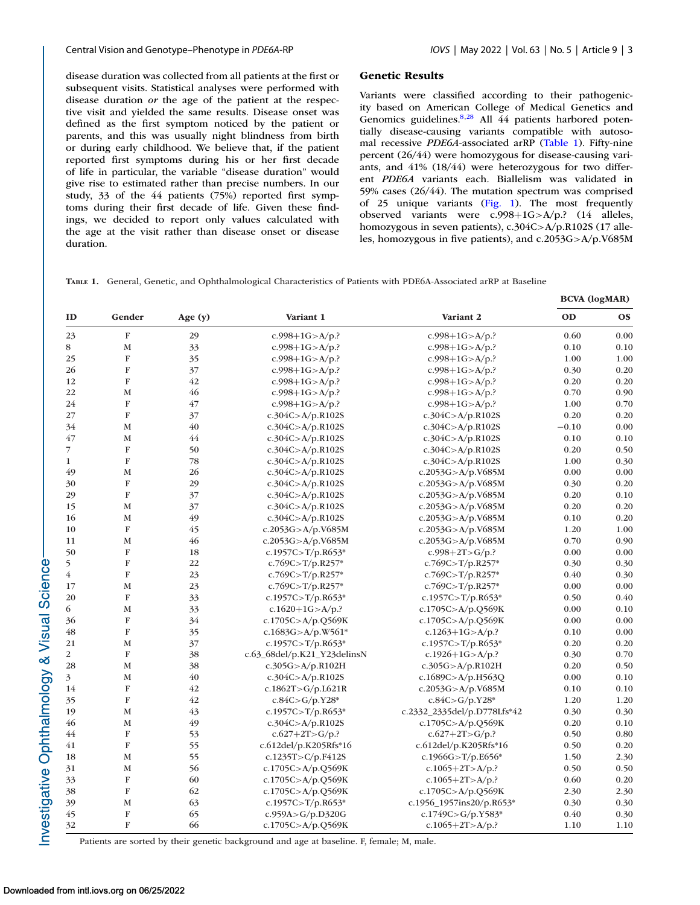**BCVA (logMAR)**

<span id="page-2-0"></span>disease duration was collected from all patients at the first or subsequent visits. Statistical analyses were performed with disease duration *or* the age of the patient at the respective visit and yielded the same results. Disease onset was defined as the first symptom noticed by the patient or parents, and this was usually night blindness from birth or during early childhood. We believe that, if the patient reported first symptoms during his or her first decade of life in particular, the variable "disease duration" would give rise to estimated rather than precise numbers. In our study, 33 of the 44 patients (75%) reported first symptoms during their first decade of life. Given these findings, we decided to report only values calculated with the age at the visit rather than disease onset or disease duration.

#### **Genetic Results**

Variants were classified according to their pathogenicity based on American College of Medical Genetics and Genomics guidelines.<sup>8,[28](#page-8-0)</sup> All 44 patients harbored potentially disease-causing variants compatible with autosomal recessive *PDE6A*-associated arRP (Table 1). Fifty-nine percent (26/44) were homozygous for disease-causing variants, and 41% (18/44) were heterozygous for two different *PDE6A* variants each. Biallelism was validated in 59% cases (26/44). The mutation spectrum was comprised of 25 unique variants [\(Fig. 1\)](#page-3-0). The most frequently observed variants were c.998+1G>A/p.? (14 alleles, homozygous in seven patients), c.304C>A/p.R102S (17 alleles, homozygous in five patients), and c.2053G>A/p.V685M

**TABLE 1.** General, Genetic, and Ophthalmological Characteristics of Patients with PDE6A-Associated arRP at Baseline

|                |                |         |                             |                             | DOM (JOSMIN) |           |  |
|----------------|----------------|---------|-----------------------------|-----------------------------|--------------|-----------|--|
| ID             | Gender         | Age (y) | Variant 1                   | Variant 2                   | OD           | <b>OS</b> |  |
| 23             | $\mathbf F$    | 29      | c.998+1G>A/p.?              | c.998+1G>A/p.?              | 0.60         | 0.00      |  |
| 8              | M              | 33      | c.998+1G>A/p.?              | c.998+1G>A/p.?              | 0.10         | 0.10      |  |
| 25             | $\mathbf F$    | 35      | c.998+1G>A/p.?              | c.998+1G>A/p.?              | 1.00         | 1.00      |  |
| 26             | $\mathbf{F}$   | 37      | c.998+1G>A/p.?              | c.998+1G>A/p.?              | 0.30         | 0.20      |  |
| 12             | $\mathbf{F}$   | 42      | c.998+1G>A/p.?              | $c.998+1G > A/p$ .          | 0.20         | 0.20      |  |
| 22             | M              | 46      | c.998+1G>A/p.?              | c.998+1G>A/p.?              | 0.70         | 0.90      |  |
| 24             | $\mathbf F$    | 47      | c.998+1G>A/p.?              | c.998+1G>A/p.?              | 1.00         | 0.70      |  |
| 27             | $\mathbf F$    | 37      | c.304C>A/p.R102S            | c.304C>A/p.R102S            | 0.20         | 0.20      |  |
| 34             | M              | 40      | c.304C>A/p.R102S            | c.304C>A/p.R102S            | $-0.10$      | 0.00      |  |
| 47             | M              | 44      | c.304C>A/p.R102S            | c.304C>A/p.R102S            | 0.10         | 0.10      |  |
| $\overline{7}$ | $\mathbf F$    | 50      | c.304C>A/p.R102S            | c.304C>A/p.R102S            | 0.20         | 0.50      |  |
| $\mathbf{1}$   | F              | 78      | c.304C>A/p.R102S            | c.304C>A/p.R102S            | 1.00         | 0.30      |  |
| 49             | $\mathbf M$    | 26      | c.304C>A/p.R102S            | c.2053G>A/p.V685M           | 0.00         | 0.00      |  |
| 30             | $\mathbf F$    | 29      | c.304C>A/p.R102S            | c.2053G>A/p.V685M           | 0.30         | 0.20      |  |
| 29             | $\mathbf F$    | 37      | c.304C>A/p.R102S            | c.2053G>A/p.V685M           | 0.20         | 0.10      |  |
| 15             | $\mathbf{M}$   | 37      | c.304C>A/p.R102S            | c.2053G>A/p.V685M           | 0.20         | 0.20      |  |
| 16             | M              | 49      | c.304C>A/p.R102S            | c.2053G>A/p.V685M           | 0.10         | 0.20      |  |
| 10             | $\mathbf F$    | 45      | c.2053G>A/p.V685M           | c.2053G>A/p.V685M           | 1.20         | 1.00      |  |
| 11             | M              | 46      | c.2053G>A/p.V685M           | c.2053G>A/p.V685M           | 0.70         | 0.90      |  |
| 50             | $\mathbf F$    | 18      | c.1957C>T/p.R653*           | c.998+2T>G/p.?              | 0.00         | 0.00      |  |
| 5              | $\mathbf{F}$   | 22      | c.769C>T/p.R257*            | c.769C>T/p.R257*            | 0.30         | 0.30      |  |
| $\overline{4}$ | F              | 23      | $c.769C > T/p.R257*$        | $c.769C > T/p.R257*$        | 0.40         | 0.30      |  |
| 17             | $\mathbf M$    | 23      | c.769C>T/p.R257*            | $c.769C > T/p.R257*$        | 0.00         | 0.00      |  |
| 20             | $\mathbf F$    | 33      | c.1957C>T/p.R653*           | c.1957C>T/p.R653*           | 0.50         | 0.40      |  |
| 6              | $\mathbf M$    | 33      | c.1620+1G>A/p.?             | c.1705C>A/p.Q569K           | 0.00         | 0.10      |  |
| 36             | ${\bf F}$      | 34      | c.1705C>A/p.Q569K           | c.1705C>A/p.Q569K           | 0.00         | 0.00      |  |
| 48             | ${\bf F}$      | 35      | c.1683G>A/p.W561*           | $c.1263 + 1G > A/p$ .       | 0.10         | 0.00      |  |
| 21             | M              | 37      | c.1957C>T/p.R653*           | c.1957C>T/p.R653*           | 0.20         | 0.20      |  |
| $\overline{2}$ | $\mathbf F$    | 38      | c.63_68del/p.K21_Y23delinsN | c.1926+1G>A/p.?             | 0.30         | 0.70      |  |
| 28             | $\mathbf{M}$   | 38      | c.305G>A/p.R102H            | c.305G>A/p.R102H            | 0.20         | 0.50      |  |
| $\overline{3}$ | $\mathbf M$    | 40      | c.304C>A/p.R102S            | c.1689C>A/p.H563Q           | 0.00         | 0.10      |  |
| 14             | ${\bf F}$      | 42      | c.1862T>G/p.L621R           | c.2053G>A/p.V685M           | 0.10         | 0.10      |  |
| 35             | $\overline{F}$ | 42      | $c.84C > G/p.Y28*$          | $c.84C > G/p.Y28*$          | 1.20         | 1.20      |  |
| 19             | M              | 43      | c.1957C>T/p.R653*           | c.2332_2335del/p.D778Lfs*42 | 0.30         | 0.30      |  |
| 46             | M              | 49      | c.304C>A/p.R102S            | c.1705C>A/p.Q569K           | 0.20         | 0.10      |  |
| 44             | $\mathbf F$    | 53      | $c.627+2T > G/p.?$          | $c.627+2T>S/p.?$            | 0.50         | 0.80      |  |
| 41             | F              | 55      | c.612del/p.K205Rfs*16       | c.612del/p.K205Rfs*16       | 0.50         | 0.20      |  |
| 18             | M              | 55      | c.1235T>C/p.F412S           | c.1966G>T/p.E656*           | 1.50         | 2.30      |  |
| 31             | M              | 56      | c.1705C>A/p.Q569K           | c.1065+2T>A/p.?             | 0.50         | 0.50      |  |
| 33             | ${\bf F}$      | 60      | c.1705C>A/p.Q569K           | c.1065+2T>A/p.?             | 0.60         | 0.20      |  |
| 38             | ${\bf F}$      | 62      | c.1705C>A/p.Q569K           | c.1705C>A/p.Q569K           | 2.30         | 2.30      |  |
| 39             | $\mathbf M$    | 63      | c.1957C>T/p.R653*           | c.1956_1957ins20/p.R653*    | 0.30         | 0.30      |  |
| 45             | $\overline{F}$ | 65      | c.959A>G/p.D320G            | c.1749C>G/p.Y583*           | 0.40         | 0.30      |  |
| 32             | F              | 66      | c.1705C>A/p.Q569K           | c.1065+2T>A/p.?             | 1.10         | 1.10      |  |

Patients are sorted by their genetic background and age at baseline. F, female; M, male.

Investigative Ophthalmology & Visual Science-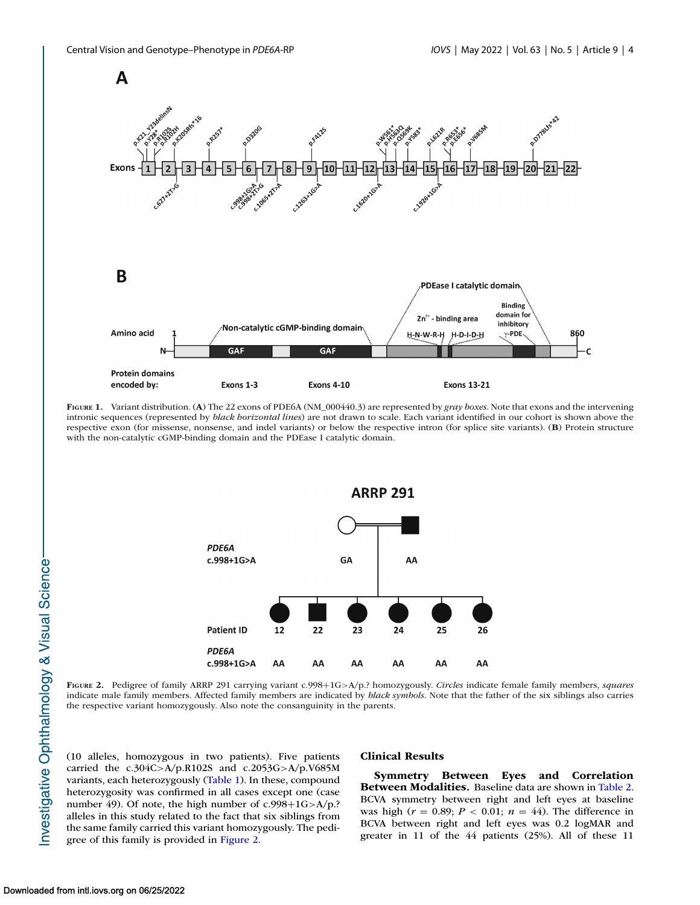<span id="page-3-0"></span>

**FIGURE 1.** Variant distribution. (**A**) The 22 exons of PDE6A (NM\_000440.3) are represented by *gray boxes*. Note that exons and the intervening intronic sequences (represented by *black horizontal lines*) are not drawn to scale. Each variant identified in our cohort is shown above the respective exon (for missense, nonsense, and indel variants) or below the respective intron (for splice site variants). (**B**) Protein structure with the non-catalytic cGMP-binding domain and the PDEase I catalytic domain.



**FIGURE 2.** Pedigree of family ARRP 291 carrying variant c.998+1G>A/p.? homozygously. *Circles* indicate female family members, *squares* indicate male family members. Affected family members are indicated by *black symbols*. Note that the father of the six siblings also carries the respective variant homozygously. Also note the consanguinity in the parents.

(10 alleles, homozygous in two patients). Five patients carried the c.304C>A/p.R102S and c.2053G>A/p.V685M variants, each heterozygously [\(Table 1\)](#page-2-0). In these, compound heterozygosity was confirmed in all cases except one (case number 49). Of note, the high number of c.998+1G>A/p.? alleles in this study related to the fact that six siblings from the same family carried this variant homozygously. The pedigree of this family is provided in Figure 2.

#### **Clinical Results**

**Symmetry Between Eyes and Correlation Between Modalities.** Baseline data are shown in [Table 2.](#page-4-0) BCVA symmetry between right and left eyes at baseline was high ( $r = 0.89$ ;  $P < 0.01$ ;  $n = 44$ ). The difference in BCVA between right and left eyes was 0.2 logMAR and greater in 11 of the 44 patients (25%). All of these 11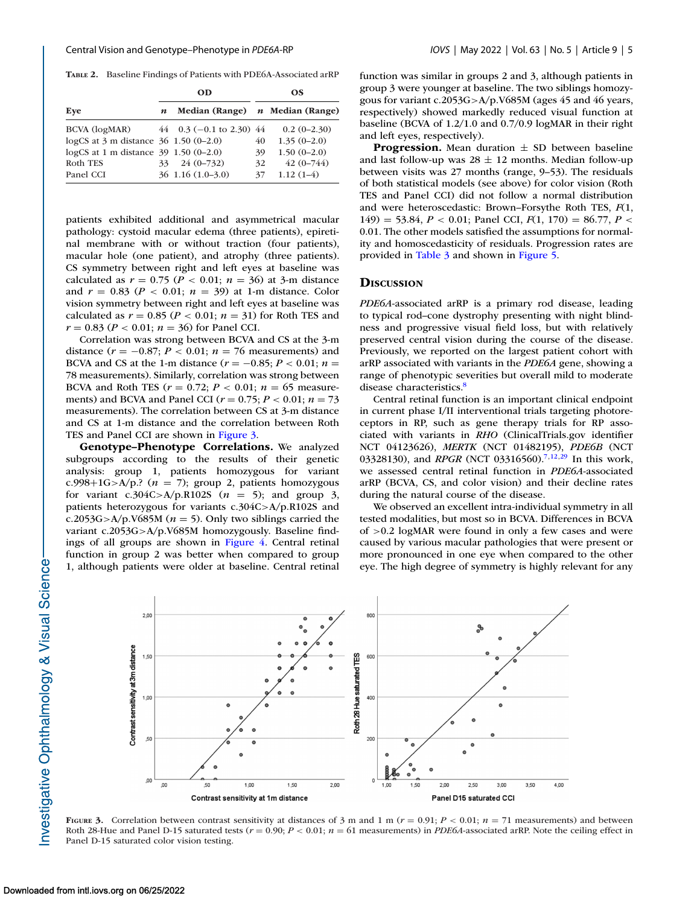<span id="page-4-0"></span>**TABLE 2.** Baseline Findings of Patients with PDE6A-Associated arRP

|                                                           | OD               |                                 |    | OS.           |  |  |
|-----------------------------------------------------------|------------------|---------------------------------|----|---------------|--|--|
| Eye                                                       | $\boldsymbol{n}$ | Median (Range) n Median (Range) |    |               |  |  |
| BCVA (logMAR) $44 \t 0.3 (-0.1 \text{ to } 2.30) 44$      |                  |                                 |    | $0.2(0-2.30)$ |  |  |
| logCS at $3 \text{ m}$ distance $36 \text{ 1.50} (0-2.0)$ |                  |                                 | 40 | $1.35(0-2.0)$ |  |  |
| logCS at 1 m distance $39$ 1.50 (0-2.0)                   |                  |                                 | 39 | $1.50(0-2.0)$ |  |  |
| Roth TES                                                  |                  | $33 \quad 24 \quad (0-732)$     | 32 | $42(0 - 744)$ |  |  |
| Panel CCI                                                 |                  | $36$ 1.16 $(1.0-3.0)$           | 37 | $1.12(1-4)$   |  |  |

patients exhibited additional and asymmetrical macular pathology: cystoid macular edema (three patients), epiretinal membrane with or without traction (four patients), macular hole (one patient), and atrophy (three patients). CS symmetry between right and left eyes at baseline was calculated as  $r = 0.75$  ( $P < 0.01$ ;  $n = 36$ ) at 3-m distance and  $r = 0.83$  ( $P < 0.01$ ;  $n = 39$ ) at 1-m distance. Color vision symmetry between right and left eyes at baseline was calculated as  $r = 0.85$  ( $P < 0.01$ ;  $n = 31$ ) for Roth TES and  $r = 0.83$  ( $P < 0.01$ ;  $n = 36$ ) for Panel CCI.

Correlation was strong between BCVA and CS at the 3-m distance  $(r = -0.87; P < 0.01; n = 76$  measurements) and BCVA and CS at the 1-m distance ( $r = -0.85$ ;  $P < 0.01$ ;  $n =$ 78 measurements). Similarly, correlation was strong between BCVA and Roth TES ( $r = 0.72$ ;  $P < 0.01$ ;  $n = 65$  measurements) and BCVA and Panel CCI (*r* = 0.75; *P* < 0.01; *n* = 73 measurements). The correlation between CS at 3-m distance and CS at 1-m distance and the correlation between Roth TES and Panel CCI are shown in Figure 3.

**Genotype–Phenotype Correlations.** We analyzed subgroups according to the results of their genetic analysis: group 1, patients homozygous for variant c.998+1G>A/p.?  $(n = 7)$ ; group 2, patients homozygous for variant c.304C>A/p.R102S  $(n = 5)$ ; and group 3, patients heterozygous for variants c.304C>A/p.R102S and c.2053G>A/p.V685M ( $n = 5$ ). Only two siblings carried the variant c.2053G>A/p.V685M homozygously. Baseline findings of all groups are shown in [Figure 4.](#page-5-0) Central retinal function in group 2 was better when compared to group 1, although patients were older at baseline. Central retinal function was similar in groups 2 and 3, although patients in group 3 were younger at baseline. The two siblings homozygous for variant c.2053G>A/p.V685M (ages 45 and 46 years, respectively) showed markedly reduced visual function at baseline (BCVA of 1.2/1.0 and 0.7/0.9 logMAR in their right and left eyes, respectively).

**Progression.** Mean duration  $\pm$  SD between baseline and last follow-up was  $28 \pm 12$  months. Median follow-up between visits was 27 months (range, 9–53). The residuals of both statistical models (see above) for color vision (Roth TES and Panel CCI) did not follow a normal distribution and were heteroscedastic: Brown–Forsythe Roth TES, *F*(1, 149) = 53.84,  $P < 0.01$ ; Panel CCI,  $F(1, 170) = 86.77$ ,  $P <$ 0.01. The other models satisfied the assumptions for normality and homoscedasticity of residuals. Progression rates are provided in [Table 3](#page-5-0) and shown in [Figure 5.](#page-6-0)

#### **DISCUSSION**

*PDE6A*-associated arRP is a primary rod disease, leading to typical rod–cone dystrophy presenting with night blindness and progressive visual field loss, but with relatively preserved central vision during the course of the disease. Previously, we reported on the largest patient cohort with arRP associated with variants in the *PDE6A* gene, showing a range of phenotypic severities but overall mild to moderate disease characteristics.<sup>8</sup>

Central retinal function is an important clinical endpoint in current phase I/II interventional trials targeting photoreceptors in RP, such as gene therapy trials for RP associated with variants in *RHO* (ClinicalTrials.gov identifier NCT 04123626), *MERTK* (NCT 01482195), *PDE6B* (NCT 03328130), and *RPGR* (NCT 03316560).<sup>7[,12,29](#page-8-0)</sup> In this work, we assessed central retinal function in *PDE6A*-associated arRP (BCVA, CS, and color vision) and their decline rates during the natural course of the disease.

We observed an excellent intra-individual symmetry in all tested modalities, but most so in BCVA. Differences in BCVA of >0.2 logMAR were found in only a few cases and were caused by various macular pathologies that were present or more pronounced in one eye when compared to the other eye. The high degree of symmetry is highly relevant for any



**FIGURE** 3. Correlation between contrast sensitivity at distances of 3 m and 1 m ( $r = 0.91$ ;  $P < 0.01$ ;  $n = 71$  measurements) and between Roth 28-Hue and Panel D-15 saturated tests  $(r = 0.90; P < 0.01; n = 61$  measurements) in *PDE6A*-associated arRP. Note the ceiling effect in Panel D-15 saturated color vision testing.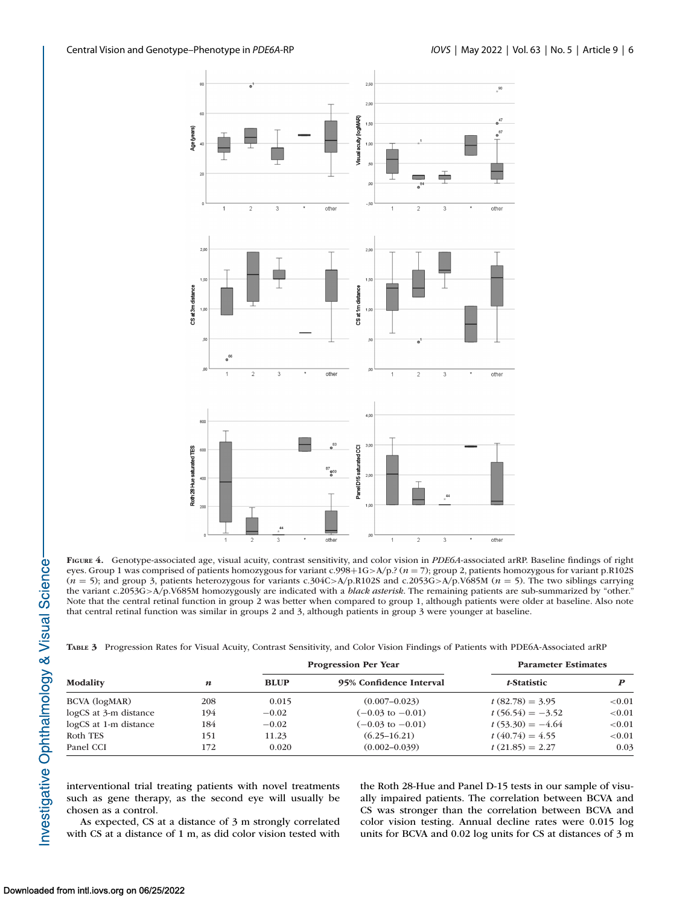<span id="page-5-0"></span>

**FIGURE 4.** Genotype-associated age, visual acuity, contrast sensitivity, and color vision in *PDE6A*-associated arRP. Baseline findings of right eyes. Group 1 was comprised of patients homozygous for variant c.998+1G>A/p.? (*n* = 7); group 2, patients homozygous for variant p.R102S (*n* = 5); and group 3, patients heterozygous for variants c.304C>A/p.R102S and c.2053G>A/p.V685M (*n* = 5). The two siblings carrying the variant c.2053G>A/p.V685M homozygously are indicated with a *black asterisk*. The remaining patients are sub-summarized by "other." Note that the central retinal function in group 2 was better when compared to group 1, although patients were older at baseline. Also note that central retinal function was similar in groups 2 and 3, although patients in group 3 were younger at baseline.

|  |  |  | TABLE 3 Progression Rates for Visual Acuity, Contrast Sensitivity, and Color Vision Findings of Patients with PDE6A-Associated arRP |
|--|--|--|-------------------------------------------------------------------------------------------------------------------------------------|
|  |  |  |                                                                                                                                     |
|  |  |  |                                                                                                                                     |

|                       | $\boldsymbol{n}$ |             | <b>Progression Per Year</b> | <b>Parameter Estimates</b> |           |
|-----------------------|------------------|-------------|-----------------------------|----------------------------|-----------|
| Modality              |                  | <b>BLUP</b> | 95% Confidence Interval     | t-Statistic                |           |
| BCVA (logMAR)         | 208              | 0.015       | $(0.007 - 0.023)$           | $t(82.78) = 3.95$          | ${<}0.01$ |
| logCS at 3-m distance | 194              | $-0.02$     | $(-0.03 \text{ to } -0.01)$ | $t(56.54) = -3.52$         | ${<}0.01$ |
| logCS at 1-m distance | 184              | $-0.02$     | $(-0.03 \text{ to } -0.01)$ | $t(53.30) = -4.64$         | ${<}0.01$ |
| Roth TES              | 151              | 11.23       | $(6.25 - 16.21)$            | $t(40.74) = 4.55$          | ${<}0.01$ |
| Panel CCI             | 172              | 0.020       | $(0.002 - 0.039)$           | $t(21.85) = 2.27$          | 0.03      |

interventional trial treating patients with novel treatments such as gene therapy, as the second eye will usually be chosen as a control.

As expected, CS at a distance of 3 m strongly correlated with CS at a distance of 1 m, as did color vision tested with

the Roth 28-Hue and Panel D-15 tests in our sample of visually impaired patients. The correlation between BCVA and CS was stronger than the correlation between BCVA and color vision testing. Annual decline rates were 0.015 log units for BCVA and 0.02 log units for CS at distances of 3 m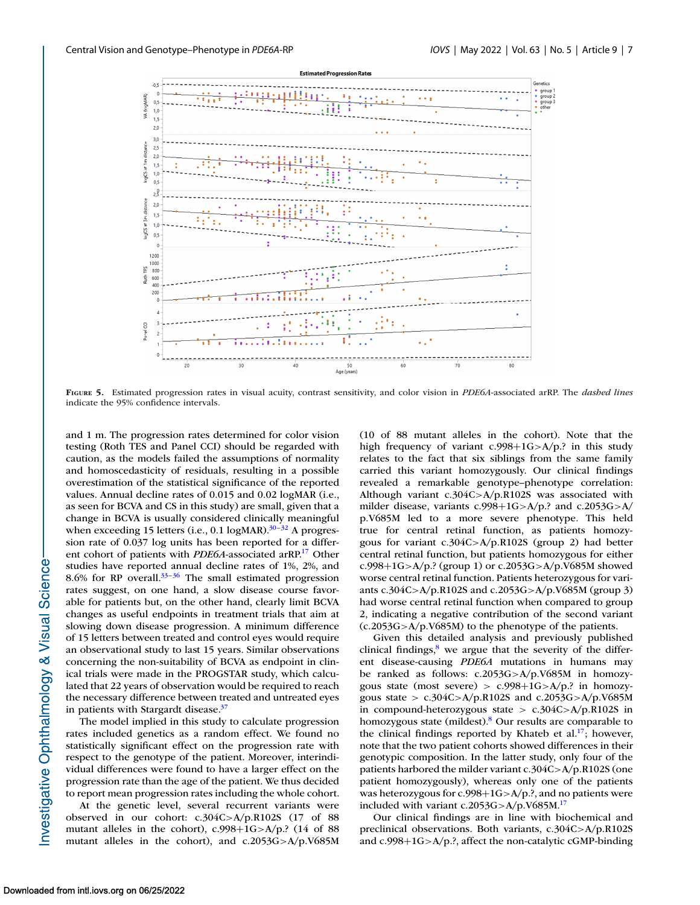<span id="page-6-0"></span>

**FIGURE 5.** Estimated progression rates in visual acuity, contrast sensitivity, and color vision in *PDE6A*-associated arRP. The *dashed lines* indicate the 95% confidence intervals.

and 1 m. The progression rates determined for color vision testing (Roth TES and Panel CCI) should be regarded with caution, as the models failed the assumptions of normality and homoscedasticity of residuals, resulting in a possible overestimation of the statistical significance of the reported values. Annual decline rates of 0.015 and 0.02 logMAR (i.e., as seen for BCVA and CS in this study) are small, given that a change in BCVA is usually considered clinically meaningful when exceeding 15 letters (i.e., 0.1 logMAR). $30-32$  A progression rate of 0.037 log units has been reported for a different cohort of patients with *PDE6A*-associated arRP[.17](#page-8-0) Other studies have reported annual decline rates of 1%, 2%, and 8.6% for RP overall. $33-36$  The small estimated progression rates suggest, on one hand, a slow disease course favorable for patients but, on the other hand, clearly limit BCVA changes as useful endpoints in treatment trials that aim at slowing down disease progression. A minimum difference of 15 letters between treated and control eyes would require an observational study to last 15 years. Similar observations concerning the non-suitability of BCVA as endpoint in clinical trials were made in the PROGSTAR study, which calculated that 22 years of observation would be required to reach the necessary difference between treated and untreated eyes in patients with Stargardt disease.<sup>37</sup>

The model implied in this study to calculate progression rates included genetics as a random effect. We found no statistically significant effect on the progression rate with respect to the genotype of the patient. Moreover, interindividual differences were found to have a larger effect on the progression rate than the age of the patient. We thus decided to report mean progression rates including the whole cohort.

At the genetic level, several recurrent variants were observed in our cohort: c.304C>A/p.R102S (17 of 88 mutant alleles in the cohort), c.998+1G>A/p.? (14 of 88 mutant alleles in the cohort), and c.2053G>A/p.V685M (10 of 88 mutant alleles in the cohort). Note that the high frequency of variant c.998+1G>A/p.? in this study relates to the fact that six siblings from the same family carried this variant homozygously. Our clinical findings revealed a remarkable genotype–phenotype correlation: Although variant c.304C>A/p.R102S was associated with milder disease, variants c.998+1G>A/p.? and c.2053G>A/ p.V685M led to a more severe phenotype. This held true for central retinal function, as patients homozygous for variant c.304C>A/p.R102S (group 2) had better central retinal function, but patients homozygous for either c.998+1G>A/p.? (group 1) or c.2053G>A/p.V685M showed worse central retinal function. Patients heterozygous for variants c.304C>A/p.R102S and c.2053G>A/p.V685M (group 3) had worse central retinal function when compared to group 2, indicating a negative contribution of the second variant (c.2053G>A/p.V685M) to the phenotype of the patients.

Given this detailed analysis and previously published clinical findings, $8$  we argue that the severity of the different disease-causing *PDE6A* mutations in humans may be ranked as follows: c.2053G>A/p.V685M in homozygous state (most severe) >  $c.998+1G>A/p$ .? in homozygous state > c.304C>A/p.R102S and c.2053G>A/p.V685M in compound-heterozygous state > c.304C>A/p.R102S in homozygous state (mildest).<sup>8</sup> Our results are comparable to the clinical findings reported by Khateb et al.<sup>17</sup>; however, note that the two patient cohorts showed differences in their genotypic composition. In the latter study, only four of the patients harbored the milder variant c.304C>A/p.R102S (one patient homozygously), whereas only one of the patients was heterozygous for c.998+1G>A/p.?, and no patients were included with variant c.2053G>A/p.V685M[.17](#page-8-0)

Our clinical findings are in line with biochemical and preclinical observations. Both variants, c.304C>A/p.R102S and c.998+1G>A/p.?, affect the non-catalytic cGMP-binding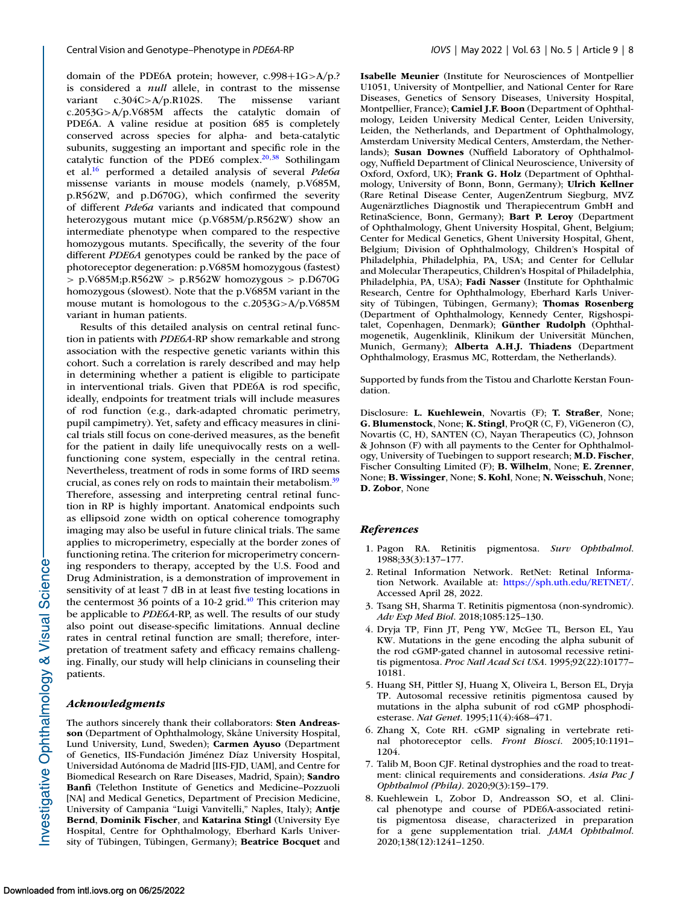<span id="page-7-0"></span>domain of the PDE6A protein; however, c.998+1G>A/p.? is considered a *null* allele, in contrast to the missense variant c.304C>A/p.R102S. The missense variant c.2053G>A/p.V685M affects the catalytic domain of PDE6A. A valine residue at position 685 is completely conserved across species for alpha- and beta-catalytic subunits, suggesting an important and specific role in the catalytic function of the PDE6 complex. $20,38$  Sothilingam et al[.16](#page-8-0) performed a detailed analysis of several *Pde6a* missense variants in mouse models (namely, p.V685M, p.R562W, and p.D670G), which confirmed the severity of different *Pde6a* variants and indicated that compound heterozygous mutant mice (p.V685M/p.R562W) show an intermediate phenotype when compared to the respective homozygous mutants. Specifically, the severity of the four different *PDE6A* genotypes could be ranked by the pace of photoreceptor degeneration: p.V685M homozygous (fastest)  $> p.V685M; p.R562W > p.R562W$  homozygous  $> p.D670G$ homozygous (slowest). Note that the p.V685M variant in the mouse mutant is homologous to the c.2053G>A/p.V685M variant in human patients.

Results of this detailed analysis on central retinal function in patients with *PDE6A*-RP show remarkable and strong association with the respective genetic variants within this cohort. Such a correlation is rarely described and may help in determining whether a patient is eligible to participate in interventional trials. Given that PDE6A is rod specific, ideally, endpoints for treatment trials will include measures of rod function (e.g., dark-adapted chromatic perimetry, pupil campimetry). Yet, safety and efficacy measures in clinical trials still focus on cone-derived measures, as the benefit for the patient in daily life unequivocally rests on a wellfunctioning cone system, especially in the central retina. Nevertheless, treatment of rods in some forms of IRD seems crucial, as cones rely on rods to maintain their metabolism[.39](#page-8-0) Therefore, assessing and interpreting central retinal function in RP is highly important. Anatomical endpoints such as ellipsoid zone width on optical coherence tomography imaging may also be useful in future clinical trials. The same applies to microperimetry, especially at the border zones of functioning retina. The criterion for microperimetry concerning responders to therapy, accepted by the U.S. Food and Drug Administration, is a demonstration of improvement in sensitivity of at least 7 dB in at least five testing locations in the centermost 36 points of a 10-2 grid. $40$  This criterion may be applicable to *PDE6A*-RP, as well. The results of our study also point out disease-specific limitations. Annual decline rates in central retinal function are small; therefore, interpretation of treatment safety and efficacy remains challenging. Finally, our study will help clinicians in counseling their patients.

#### *Acknowledgments*

The authors sincerely thank their collaborators: **Sten Andreasson** (Department of Ophthalmology, Skåne University Hospital, Lund University, Lund, Sweden); **Carmen Ayuso** (Department of Genetics, IIS-Fundación Jiménez Díaz University Hospital, Universidad Autónoma de Madrid [IIS-FJD, UAM], and Centre for Biomedical Research on Rare Diseases, Madrid, Spain); **Sandro Banfi** (Telethon Institute of Genetics and Medicine–Pozzuoli [NA] and Medical Genetics, Department of Precision Medicine, University of Campania "Luigi Vanvitelli," Naples, Italy); **Antje Bernd**, **Dominik Fischer**, and **Katarina Stingl** (University Eye Hospital, Centre for Ophthalmology, Eberhard Karls University of Tübingen, Tübingen, Germany); **Beatrice Bocquet** and

**Isabelle Meunier** (Institute for Neurosciences of Montpellier U1051, University of Montpellier, and National Center for Rare Diseases, Genetics of Sensory Diseases, University Hospital, Montpellier, France); **Camiel J.F. Boon** (Department of Ophthalmology, Leiden University Medical Center, Leiden University, Leiden, the Netherlands, and Department of Ophthalmology, Amsterdam University Medical Centers, Amsterdam, the Netherlands); **Susan Downes** (Nuffield Laboratory of Ophthalmology, Nuffield Department of Clinical Neuroscience, University of Oxford, Oxford, UK); **Frank G. Holz** (Department of Ophthalmology, University of Bonn, Bonn, Germany); **Ulrich Kellner** (Rare Retinal Disease Center, AugenZentrum Siegburg, MVZ Augenärztliches Diagnostik und Therapiecentrum GmbH and RetinaScience, Bonn, Germany); **Bart P. Leroy** (Department of Ophthalmology, Ghent University Hospital, Ghent, Belgium; Center for Medical Genetics, Ghent University Hospital, Ghent, Belgium; Division of Ophthalmology, Children's Hospital of Philadelphia, Philadelphia, PA, USA; and Center for Cellular and Molecular Therapeutics, Children's Hospital of Philadelphia, Philadelphia, PA, USA); **Fadi Nasser** (Institute for Ophthalmic Research, Centre for Ophthalmology, Eberhard Karls University of Tübingen, Tübingen, Germany); **Thomas Rosenberg** (Department of Ophthalmology, Kennedy Center, Rigshospitalet, Copenhagen, Denmark); **Günther Rudolph** (Ophthalmogenetik, Augenklinik, Klinikum der Universität München, Munich, Germany); **Alberta A.H.J. Thiadens** (Department Ophthalmology, Erasmus MC, Rotterdam, the Netherlands).

Supported by funds from the Tistou and Charlotte Kerstan Foundation.

Disclosure: **L. Kuehlewein**, Novartis (F); **T. Straßer**, None; **G. Blumenstock**, None; **K. Stingl**, ProQR (C, F), ViGeneron (C), Novartis (C, H), SANTEN (C), Nayan Therapeutics (C), Johnson & Johnson (F) with all payments to the Center for Ophthalmology, University of Tuebingen to support research; **M.D. Fischer**, Fischer Consulting Limited (F); **B. Wilhelm**, None; **E. Zrenner**, None; **B. Wissinger**, None; **S. Kohl**, None; **N. Weisschuh**, None; **D. Zobor**, None

#### *References*

- 1. Pagon RA. Retinitis pigmentosa. *Surv Ophthalmol*. 1988;33(3):137–177.
- 2. Retinal Information Network. RetNet: Retinal Information Network. Available at: [https://sph.uth.edu/RETNET/.](https://sph.uth.edu/RETNET/) Accessed April 28, 2022.
- 3. Tsang SH, Sharma T. Retinitis pigmentosa (non-syndromic). *Adv Exp Med Biol*. 2018;1085:125–130.
- 4. Dryja TP, Finn JT, Peng YW, McGee TL, Berson EL, Yau KW. Mutations in the gene encoding the alpha subunit of the rod cGMP-gated channel in autosomal recessive retinitis pigmentosa. *Proc Natl Acad Sci USA*. 1995;92(22):10177– 10181.
- 5. Huang SH, Pittler SJ, Huang X, Oliveira L, Berson EL, Dryja TP. Autosomal recessive retinitis pigmentosa caused by mutations in the alpha subunit of rod cGMP phosphodiesterase. *Nat Genet*. 1995;11(4):468–471.
- 6. Zhang X, Cote RH. cGMP signaling in vertebrate retinal photoreceptor cells. *Front Biosci*. 2005;10:1191– 1204.
- 7. Talib M, Boon CJF. Retinal dystrophies and the road to treatment: clinical requirements and considerations. *Asia Pac J Ophthalmol (Phila)*. 2020;9(3):159–179.
- 8. Kuehlewein L, Zobor D, Andreasson SO, et al. Clinical phenotype and course of PDE6A-associated retinitis pigmentosa disease, characterized in preparation for a gene supplementation trial. *JAMA Ophthalmol*. 2020;138(12):1241–1250.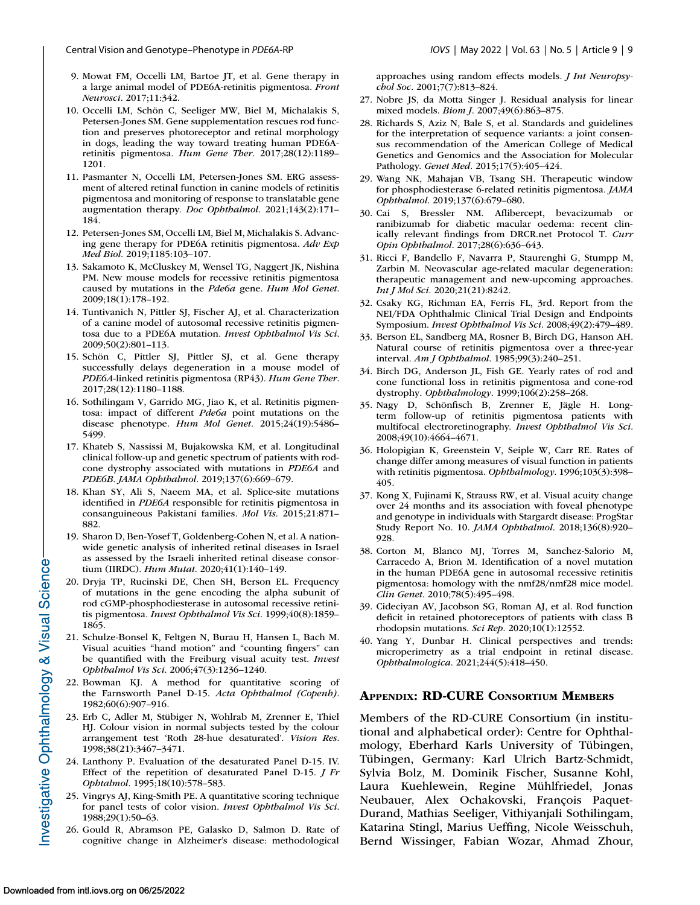- <span id="page-8-0"></span>9. Mowat FM, Occelli LM, Bartoe JT, et al. Gene therapy in a large animal model of PDE6A-retinitis pigmentosa. *Front Neurosci*. 2017;11:342.
- 10. Occelli LM, Schön C, Seeliger MW, Biel M, Michalakis S, Petersen-Jones SM. Gene supplementation rescues rod function and preserves photoreceptor and retinal morphology in dogs, leading the way toward treating human PDE6Aretinitis pigmentosa. *Hum Gene Ther*. 2017;28(12):1189– 1201.
- 11. Pasmanter N, Occelli LM, Petersen-Jones SM. ERG assessment of altered retinal function in canine models of retinitis pigmentosa and monitoring of response to translatable gene augmentation therapy. *Doc Ophthalmol*. 2021;143(2):171– 184.
- 12. Petersen-Jones SM, Occelli LM, Biel M, Michalakis S. Advancing gene therapy for PDE6A retinitis pigmentosa. *Adv Exp Med Biol*. 2019;1185:103–107.
- 13. Sakamoto K, McCluskey M, Wensel TG, Naggert JK, Nishina PM. New mouse models for recessive retinitis pigmentosa caused by mutations in the *Pde6a* gene. *Hum Mol Genet*. 2009;18(1):178–192.
- 14. Tuntivanich N, Pittler SJ, Fischer AJ, et al. Characterization of a canine model of autosomal recessive retinitis pigmentosa due to a PDE6A mutation. *Invest Ophthalmol Vis Sci*. 2009;50(2):801–113.
- 15. Schön C, Pittler SJ, Pittler SJ, et al. Gene therapy successfully delays degeneration in a mouse model of *PDE6A*-linked retinitis pigmentosa (RP43). *Hum Gene Ther*. 2017;28(12):1180–1188.
- 16. Sothilingam V, Garrido MG, Jiao K, et al. Retinitis pigmentosa: impact of different *Pde6a* point mutations on the disease phenotype. *Hum Mol Genet*. 2015;24(19):5486– 5499.
- 17. Khateb S, Nassissi M, Bujakowska KM, et al. Longitudinal clinical follow-up and genetic spectrum of patients with rodcone dystrophy associated with mutations in *PDE6A* and *PDE6B*. *JAMA Ophthalmol*. 2019;137(6):669–679.
- 18. Khan SY, Ali S, Naeem MA, et al. Splice-site mutations identified in *PDE6A* responsible for retinitis pigmentosa in consanguineous Pakistani families. *Mol Vis*. 2015;21:871– 882.
- 19. Sharon D, Ben-Yosef T, Goldenberg-Cohen N, et al. A nationwide genetic analysis of inherited retinal diseases in Israel as assessed by the Israeli inherited retinal disease consortium (IIRDC). *Hum Mutat*. 2020;41(1):140–149.
- 20. Dryja TP, Rucinski DE, Chen SH, Berson EL. Frequency of mutations in the gene encoding the alpha subunit of rod cGMP-phosphodiesterase in autosomal recessive retinitis pigmentosa. *Invest Ophthalmol Vis Sci*. 1999;40(8):1859– 1865.
- 21. Schulze-Bonsel K, Feltgen N, Burau H, Hansen L, Bach M. Visual acuities "hand motion" and "counting fingers" can be quantified with the Freiburg visual acuity test. *Invest Ophthalmol Vis Sci*. 2006;47(3):1236–1240.
- 22. Bowman KJ. A method for quantitative scoring of the Farnsworth Panel D-15. *Acta Ophthalmol (Copenh)*. 1982;60(6):907–916.
- 23. Erb C, Adler M, Stübiger N, Wohlrab M, Zrenner E, Thiel HJ. Colour vision in normal subjects tested by the colour arrangement test 'Roth 28-hue desaturated'. *Vision Res*. 1998;38(21):3467–3471.
- 24. Lanthony P. Evaluation of the desaturated Panel D-15. IV. Effect of the repetition of desaturated Panel D-15. *J Fr Ophtalmol*. 1995;18(10):578–583.
- 25. Vingrys AJ, King-Smith PE. A quantitative scoring technique for panel tests of color vision. *Invest Ophthalmol Vis Sci*. 1988;29(1):50–63.
- 26. Gould R, Abramson PE, Galasko D, Salmon D. Rate of cognitive change in Alzheimer's disease: methodological

approaches using random effects models. *J Int Neuropsychol Soc*. 2001;7(7):813–824.

- 27. Nobre JS, da Motta Singer J. Residual analysis for linear mixed models. *Biom J*. 2007;49(6):863–875.
- 28. Richards S, Aziz N, Bale S, et al. Standards and guidelines for the interpretation of sequence variants: a joint consensus recommendation of the American College of Medical Genetics and Genomics and the Association for Molecular Pathology. *Genet Med*. 2015;17(5):405–424.
- 29. Wang NK, Mahajan VB, Tsang SH. Therapeutic window for phosphodiesterase 6-related retinitis pigmentosa. *JAMA Ophthalmol*. 2019;137(6):679–680.
- 30. Cai S, Bressler NM. Aflibercept, bevacizumab or ranibizumab for diabetic macular oedema: recent clinically relevant findings from DRCR.net Protocol T. *Curr Opin Ophthalmol*. 2017;28(6):636–643.
- 31. Ricci F, Bandello F, Navarra P, Staurenghi G, Stumpp M, Zarbin M. Neovascular age-related macular degeneration: therapeutic management and new-upcoming approaches. *Int J Mol Sci*. 2020;21(21):8242.
- 32. Csaky KG, Richman EA, Ferris FL, 3rd. Report from the NEI/FDA Ophthalmic Clinical Trial Design and Endpoints Symposium. *Invest Ophthalmol Vis Sci*. 2008;49(2):479–489.
- 33. Berson EL, Sandberg MA, Rosner B, Birch DG, Hanson AH. Natural course of retinitis pigmentosa over a three-year interval. *Am J Ophthalmol*. 1985;99(3):240–251.
- 34. Birch DG, Anderson JL, Fish GE. Yearly rates of rod and cone functional loss in retinitis pigmentosa and cone-rod dystrophy. *Ophthalmology*. 1999;106(2):258–268.
- 35. Nagy D, Schönfisch B, Zrenner E, Jägle H. Longterm follow-up of retinitis pigmentosa patients with multifocal electroretinography. *Invest Ophthalmol Vis Sci*. 2008;49(10):4664–4671.
- 36. Holopigian K, Greenstein V, Seiple W, Carr RE. Rates of change differ among measures of visual function in patients with retinitis pigmentosa. *Ophthalmology*. 1996;103(3):398– 405.
- 37. Kong X, Fujinami K, Strauss RW, et al. Visual acuity change over 24 months and its association with foveal phenotype and genotype in individuals with Stargardt disease: ProgStar Study Report No. 10. *JAMA Ophthalmol*. 2018;136(8):920– 928.
- 38. Corton M, Blanco MJ, Torres M, Sanchez-Salorio M, Carracedo A, Brion M. Identification of a novel mutation in the human PDE6A gene in autosomal recessive retinitis pigmentosa: homology with the nmf28/nmf28 mice model. *Clin Genet*. 2010;78(5):495–498.
- 39. Cideciyan AV, Jacobson SG, Roman AJ, et al. Rod function deficit in retained photoreceptors of patients with class B rhodopsin mutations. *Sci Rep*. 2020;10(1):12552.
- 40. Yang Y, Dunbar H. Clinical perspectives and trends: microperimetry as a trial endpoint in retinal disease. *Ophthalmologica*. 2021;244(5):418–450.

## **APPENDIX: RD-CURE CONSORTIUM MEMBERS**

Members of the RD-CURE Consortium (in institutional and alphabetical order): Centre for Ophthalmology, Eberhard Karls University of Tübingen, Tübingen, Germany: Karl Ulrich Bartz-Schmidt, Sylvia Bolz, M. Dominik Fischer, Susanne Kohl, Laura Kuehlewein, Regine Mühlfriedel, Jonas Neubauer, Alex Ochakovski, François Paquet-Durand, Mathias Seeliger, Vithiyanjali Sothilingam, Katarina Stingl, Marius Ueffing, Nicole Weisschuh, Bernd Wissinger, Fabian Wozar, Ahmad Zhour,